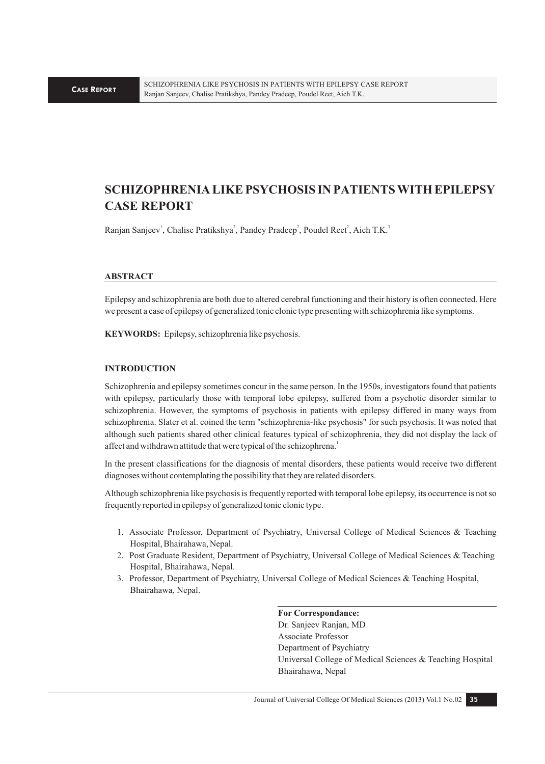# **SCHIZOPHRENIA LIKE PSYCHOSIS IN PATIENTS WITH EPILEPSY CASE REPORT**

Ranjan Sanjeev<sup>1</sup>, Chalise Pratikshya<sup>2</sup>, Pandey Pradeep<sup>2</sup>, Poudel Reet<sup>2</sup>, Aich T.K.<sup>3</sup>

#### **ABSTRACT**

Epilepsy and schizophrenia are both due to altered cerebral functioning and their history is often connected. Here we present a case of epilepsy of generalized tonic clonic type presenting with schizophrenia like symptoms.

**KEYWORDS:** Epilepsy, schizophrenia like psychosis.

#### **INTRODUCTION**

Schizophrenia and epilepsy sometimes concur in the same person. In the 1950s, investigators found that patients with epilepsy, particularly those with temporal lobe epilepsy, suffered from a psychotic disorder similar to schizophrenia. However, the symptoms of psychosis in patients with epilepsy differed in many ways from schizophrenia. Slater et al. coined the term "schizophrenia-like psychosis" for such psychosis. It was noted that although such patients shared other clinical features typical of schizophrenia, they did not display the lack of affect and withdrawn attitude that were typical of the schizophrena.<sup>1</sup>

In the present classifications for the diagnosis of mental disorders, these patients would receive two different diagnoses without contemplating the possibility that they are related disorders.

Although schizophrenia like psychosis is frequently reported with temporal lobe epilepsy, its occurrence is not so frequently reported in epilepsy of generalized tonic clonic type.

- 1. Associate Professor, Department of Psychiatry, Universal College of Medical Sciences & Teaching Hospital, Bhairahawa, Nepal.
- 2. Post Graduate Resident, Department of Psychiatry, Universal College of Medical Sciences & Teaching Hospital, Bhairahawa, Nepal.
- 3. Professor, Department of Psychiatry, Universal College of Medical Sciences & Teaching Hospital, Bhairahawa, Nepal.

**For Correspondance:**  Dr. Sanjeev Ranjan, MD Associate Professor Department of Psychiatry Universal College of Medical Sciences & Teaching Hospital Bhairahawa, Nepal